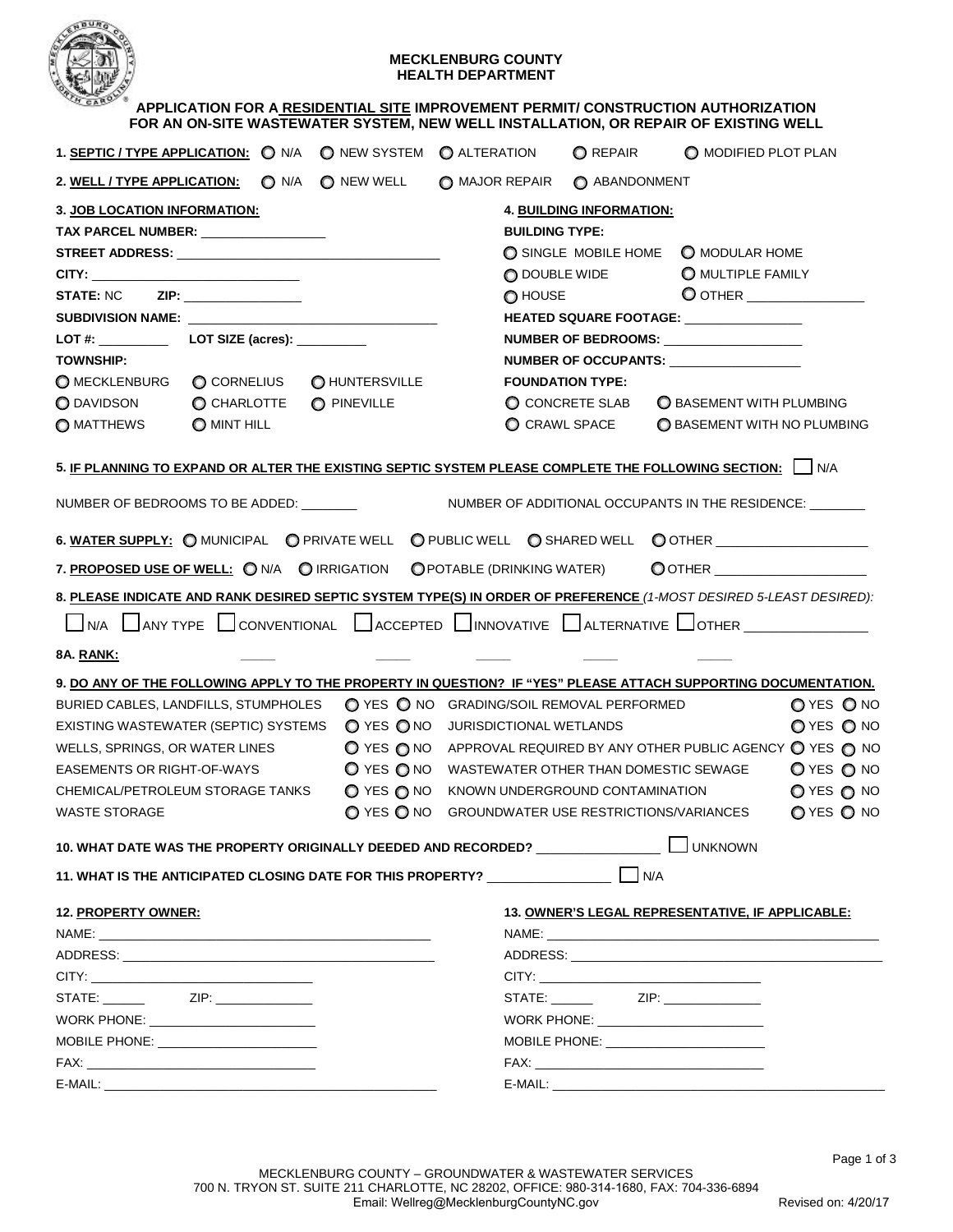

# **MECKLENBURG COUNTY HEALTH DEPARTMENT**

| $-$<br>APPLICATION FOR A RESIDENTIAL SITE IMPROVEMENT PERMIT/ CONSTRUCTION AUTHORIZATION<br>FOR AN ON-SITE WASTEWATER SYSTEM, NEW WELL INSTALLATION, OR REPAIR OF EXISTING WELL                                                |                                                                   |                                    |                                                  |            |  |  |  |  |  |  |
|--------------------------------------------------------------------------------------------------------------------------------------------------------------------------------------------------------------------------------|-------------------------------------------------------------------|------------------------------------|--------------------------------------------------|------------|--|--|--|--|--|--|
| 1. SEPTIC / TYPE APPLICATION: ON/A ONEW SYSTEM O ALTERATION OREPAIR O MODIFIED PLOT PLAN                                                                                                                                       |                                                                   |                                    |                                                  |            |  |  |  |  |  |  |
| $\bigcirc$ N/A<br><u>2. WELL / TYPE APPLICATION:</u>                                                                                                                                                                           | O NEW WELL O MAJOR REPAIR O ABANDONMENT                           |                                    |                                                  |            |  |  |  |  |  |  |
| <b>3. JOB LOCATION INFORMATION:</b>                                                                                                                                                                                            |                                                                   | 4. BUILDING INFORMATION:           |                                                  |            |  |  |  |  |  |  |
| TAX PARCEL NUMBER: NAMEL AND RESERVE TAX PARCEL NUMBER:                                                                                                                                                                        | <b>BUILDING TYPE:</b>                                             |                                    |                                                  |            |  |  |  |  |  |  |
|                                                                                                                                                                                                                                |                                                                   |                                    | O SINGLE MOBILE HOME O MODULAR HOME              |            |  |  |  |  |  |  |
|                                                                                                                                                                                                                                | O DOUBLE WIDE                                                     |                                    | O MULTIPLE FAMILY                                |            |  |  |  |  |  |  |
| <b>STATE: NC</b><br>ZIP: ___________________                                                                                                                                                                                   |                                                                   | $\bigcirc$ HOUSE                   |                                                  |            |  |  |  |  |  |  |
| SUBDIVISION NAME: University of the contract of the contract of the contract of the contract of the contract of the contract of the contract of the contract of the contract of the contract of the contract of the contract o | HEATED SQUARE FOOTAGE: ________________                           |                                    |                                                  |            |  |  |  |  |  |  |
|                                                                                                                                                                                                                                |                                                                   |                                    | NUMBER OF BEDROOMS:                              |            |  |  |  |  |  |  |
| <b>TOWNSHIP:</b>                                                                                                                                                                                                               | NUMBER OF OCCUPANTS:                                              |                                    |                                                  |            |  |  |  |  |  |  |
| C CORNELIUS<br>O HUNTERSVILLE<br>O MECKLENBURG                                                                                                                                                                                 | <b>FOUNDATION TYPE:</b>                                           |                                    |                                                  |            |  |  |  |  |  |  |
| O DAVIDSON<br>C CHARLOTTE<br>O PINEVILLE                                                                                                                                                                                       | C CONCRETE SLAB                                                   |                                    | <b>O BASEMENT WITH PLUMBING</b>                  |            |  |  |  |  |  |  |
| O MATTHEWS<br>O MINT HILL                                                                                                                                                                                                      | $\bigcirc$ CRAWL SPACE                                            | <b>O BASEMENT WITH NO PLUMBING</b> |                                                  |            |  |  |  |  |  |  |
| 5. <u>IF PLANNING TO EXPAND OR ALTER THE EXISTING SEPTIC SYSTEM PLEASE COMPLETE THE FOLLOWING SECTION:</u> I NA                                                                                                                |                                                                   |                                    |                                                  |            |  |  |  |  |  |  |
| NUMBER OF BEDROOMS TO BE ADDED: _______                                                                                                                                                                                        | NUMBER OF ADDITIONAL OCCUPANTS IN THE RESIDENCE: _______          |                                    |                                                  |            |  |  |  |  |  |  |
| 6. WATER SUPPLY: O MUNICIPAL O PRIVATE WELL O PUBLIC WELL O SHARED WELL O OTHER ___________________                                                                                                                            |                                                                   |                                    |                                                  |            |  |  |  |  |  |  |
| 7. PROPOSED USE OF WELL: ONA OIRRIGATION OPOTABLE (DRINKING WATER) OOTHER                                                                                                                                                      |                                                                   |                                    |                                                  |            |  |  |  |  |  |  |
| 8. PLEASE INDICATE AND RANK DESIRED SEPTIC SYSTEM TYPE(S) IN ORDER OF PREFERENCE (1-MOST DESIRED 5-LEAST DESIRED):                                                                                                             |                                                                   |                                    |                                                  |            |  |  |  |  |  |  |
| UNA UANYTYPE CONVENTIONAL LACCEPTED LINNOVATIVE DALTERNATIVE LOTHER                                                                                                                                                            |                                                                   |                                    |                                                  |            |  |  |  |  |  |  |
| 8A. RANK:                                                                                                                                                                                                                      |                                                                   |                                    |                                                  |            |  |  |  |  |  |  |
| <u>9. DO ANY OF THE FOLLOWING APPLY TO THE PROPERTY IN QUESTION? IF "YES" PLEASE ATTACH SUPPORTING DOCUMENTATION.</u>                                                                                                          |                                                                   |                                    |                                                  |            |  |  |  |  |  |  |
| BURIED CABLES, LANDFILLS, STUMPHOLES                                                                                                                                                                                           | O YES O NO GRADING/SOIL REMOVAL PERFORMED                         |                                    |                                                  | OYES ONO   |  |  |  |  |  |  |
| EXISTING WASTEWATER (SEPTIC) SYSTEMS ◯ YES ◯ NO JURISDICTIONAL WETLANDS                                                                                                                                                        |                                                                   |                                    |                                                  | OYES ONO   |  |  |  |  |  |  |
| WELLS, SPRINGS, OR WATER LINES                                                                                                                                                                                                 | O YES ONO APPROVAL REQUIRED BY ANY OTHER PUBLIC AGENCY O YES O NO |                                    |                                                  |            |  |  |  |  |  |  |
| EASEMENTS OR RIGHT-OF-WAYS                                                                                                                                                                                                     | O YES ONO WASTEWATER OTHER THAN DOMESTIC SEWAGE                   |                                    |                                                  | O YES O NO |  |  |  |  |  |  |
| CHEMICAL/PETROLEUM STORAGE TANKS                                                                                                                                                                                               | O YES ONO KNOWN UNDERGROUND CONTAMINATION                         |                                    |                                                  | O YES O NO |  |  |  |  |  |  |
| <b>WASTE STORAGE</b>                                                                                                                                                                                                           | O YES ONO GROUNDWATER USE RESTRICTIONS/VARIANCES                  |                                    |                                                  | O YES O NO |  |  |  |  |  |  |
| 10. WHAT DATE WAS THE PROPERTY ORIGINALLY DEEDED AND RECORDED? _________________                                                                                                                                               |                                                                   |                                    | <b>UNKNOWN</b>                                   |            |  |  |  |  |  |  |
| 11. WHAT IS THE ANTICIPATED CLOSING DATE FOR THIS PROPERTY? _____________________ ____] N/A                                                                                                                                    |                                                                   |                                    |                                                  |            |  |  |  |  |  |  |
| 12. PROPERTY OWNER:                                                                                                                                                                                                            |                                                                   |                                    | 13. OWNER'S LEGAL REPRESENTATIVE, IF APPLICABLE: |            |  |  |  |  |  |  |
|                                                                                                                                                                                                                                |                                                                   |                                    |                                                  |            |  |  |  |  |  |  |
|                                                                                                                                                                                                                                |                                                                   |                                    |                                                  |            |  |  |  |  |  |  |
|                                                                                                                                                                                                                                |                                                                   |                                    |                                                  |            |  |  |  |  |  |  |
|                                                                                                                                                                                                                                |                                                                   |                                    |                                                  |            |  |  |  |  |  |  |
| WORK PHONE: ________________________                                                                                                                                                                                           |                                                                   |                                    |                                                  |            |  |  |  |  |  |  |
|                                                                                                                                                                                                                                |                                                                   |                                    |                                                  |            |  |  |  |  |  |  |
|                                                                                                                                                                                                                                |                                                                   |                                    |                                                  |            |  |  |  |  |  |  |
|                                                                                                                                                                                                                                |                                                                   |                                    |                                                  |            |  |  |  |  |  |  |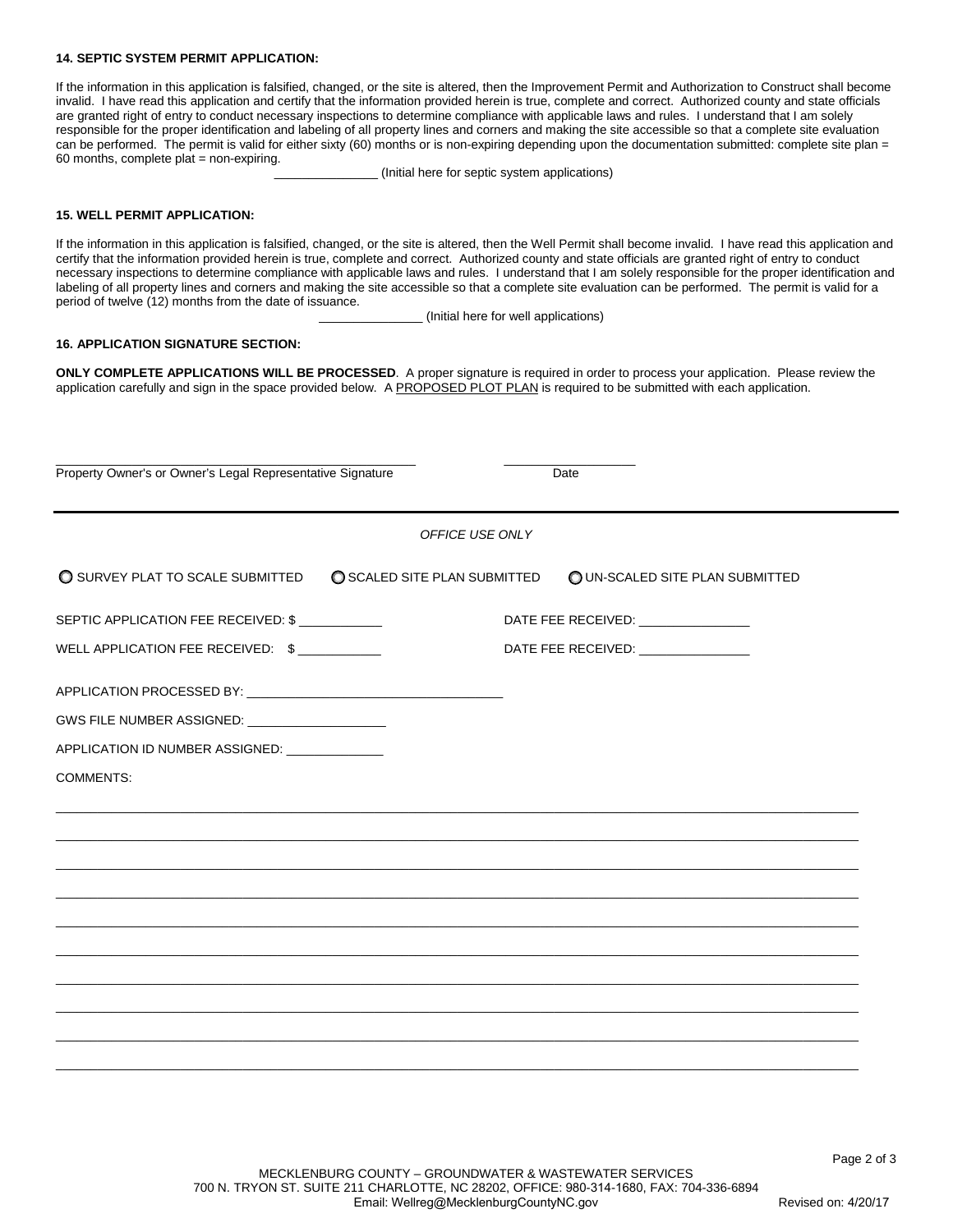## **14. SEPTIC SYSTEM PERMIT APPLICATION:**

If the information in this application is falsified, changed, or the site is altered, then the Improvement Permit and Authorization to Construct shall become invalid. I have read this application and certify that the information provided herein is true, complete and correct. Authorized county and state officials are granted right of entry to conduct necessary inspections to determine compliance with applicable laws and rules. I understand that I am solely responsible for the proper identification and labeling of all property lines and corners and making the site accessible so that a complete site evaluation can be performed. The permit is valid for either sixty (60) months or is non-expiring depending upon the documentation submitted: complete site plan = 60 months, complete plat = non-expiring.

(Initial here for septic system applications)

#### **15. WELL PERMIT APPLICATION:**

If the information in this application is falsified, changed, or the site is altered, then the Well Permit shall become invalid. I have read this application and certify that the information provided herein is true, complete and correct. Authorized county and state officials are granted right of entry to conduct necessary inspections to determine compliance with applicable laws and rules. I understand that I am solely responsible for the proper identification and labeling of all property lines and corners and making the site accessible so that a complete site evaluation can be performed. The permit is valid for a period of twelve (12) months from the date of issuance.

\_\_\_\_\_\_\_\_\_\_\_\_\_\_\_ (Initial here for well applications)

### **16. APPLICATION SIGNATURE SECTION:**

**ONLY COMPLETE APPLICATIONS WILL BE PROCESSED**. A proper signature is required in order to process your application. Please review the application carefully and sign in the space provided below. A PROPOSED PLOT PLAN is required to be submitted with each application.

| Property Owner's or Owner's Legal Representative Signature |                            | Date                                 |
|------------------------------------------------------------|----------------------------|--------------------------------------|
|                                                            | OFFICE USE ONLY            |                                      |
| O SURVEY PLAT TO SCALE SUBMITTED                           | SCALED SITE PLAN SUBMITTED | O UN-SCALED SITE PLAN SUBMITTED      |
| SEPTIC APPLICATION FEE RECEIVED: \$                        |                            | DATE FEE RECEIVED: _________________ |
| WELL APPLICATION FEE RECEIVED: \$                          |                            | DATE FEE RECEIVED: ________________  |
|                                                            |                            |                                      |
| GWS FILE NUMBER ASSIGNED: _____________________            |                            |                                      |
| APPLICATION ID NUMBER ASSIGNED: ______________             |                            |                                      |
| <b>COMMENTS:</b>                                           |                            |                                      |
|                                                            |                            |                                      |
|                                                            |                            |                                      |
|                                                            |                            |                                      |
|                                                            |                            |                                      |
|                                                            |                            |                                      |
|                                                            |                            |                                      |
|                                                            |                            |                                      |
|                                                            |                            |                                      |
|                                                            |                            |                                      |